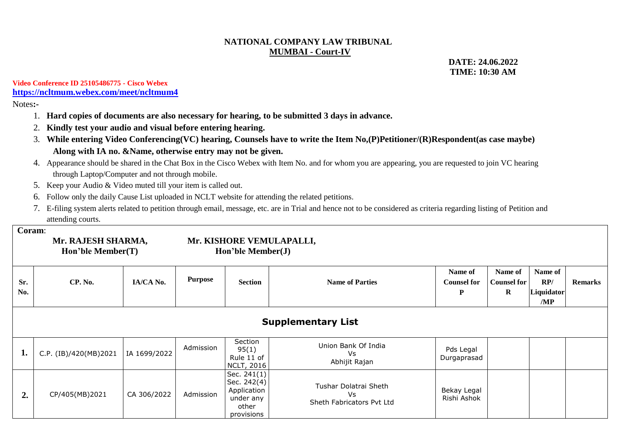## **NATIONAL COMPANY LAW TRIBUNAL MUMBAI - Court-IV**

 **DATE: 24.06.2022 TIME: 10:30 AM**

### **Video Conference ID 25105486775 - Cisco Webex <https://ncltmum.webex.com/meet/ncltmum4>**

Notes**:-**

- 1. **Hard copies of documents are also necessary for hearing, to be submitted 3 days in advance.**
- 2. **Kindly test your audio and visual before entering hearing.**
- 3. **While entering Video Conferencing(VC) hearing, Counsels have to write the Item No,(P)Petitioner/(R)Respondent(as case maybe) Along with IA no. &Name, otherwise entry may not be given.**
- 4. Appearance should be shared in the Chat Box in the Cisco Webex with Item No. and for whom you are appearing, you are requested to join VC hearing through Laptop/Computer and not through mobile.
- 5. Keep your Audio & Video muted till your item is called out.
- 6. Follow only the daily Cause List uploaded in NCLT website for attending the related petitions.
- 7. E-filing system alerts related to petition through email, message, etc. are in Trial and hence not to be considered as criteria regarding listing of Petition and attending courts.

#### **Coram**:

| Mr. RAJESH SHARMA, |  |  |  |  |  |
|--------------------|--|--|--|--|--|
| Hon'ble Member(T)  |  |  |  |  |  |

## **Mr. KISHORE VEMULAPALLI, Hon'ble Member(T) Hon'ble Member(J)**

| Sr. | CP. No. | IA/CA No. | <b>Purpose</b> | <b>Section</b> | <b>Name of Parties</b> | Name of<br><b>Counsel for</b> | Name of<br><b>Counsel for</b> | Name of<br>RP/    | <b>Remarks</b> |
|-----|---------|-----------|----------------|----------------|------------------------|-------------------------------|-------------------------------|-------------------|----------------|
| No. |         |           |                |                |                        | Ð                             | -17                           | Liquidator<br>/MP |                |

|  | <b>Supplementary List</b> |  |
|--|---------------------------|--|
|--|---------------------------|--|

|    | C.P. (IB)/420(MB)2021 | IA 1699/2022 | Admission | Section<br>95(1)<br>Rule 11 of<br>NCLT, 2016                                      | Union Bank Of India<br>Vs<br>Abhijit Rajan               | Pds Legal<br>Durgaprasad   |  |  |
|----|-----------------------|--------------|-----------|-----------------------------------------------------------------------------------|----------------------------------------------------------|----------------------------|--|--|
| ∠. | CP/405(MB)2021        | CA 306/2022  | Admission | Sec. $241(1)$<br>Sec. $242(4)$<br>Application<br>under any<br>other<br>provisions | Tushar Dolatrai Sheth<br>Vs<br>Sheth Fabricators Pvt Ltd | Bekay Legal<br>Rishi Ashok |  |  |